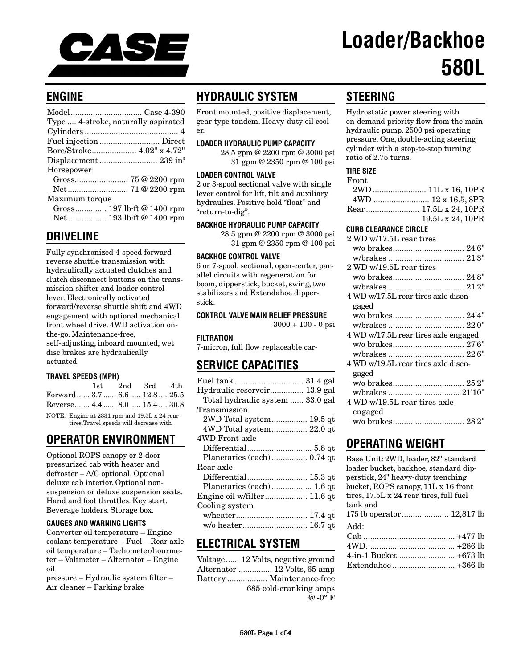

# **Loader/Backhoe 580L**

## **ENGINE**

## **DRIVELINE**

Fully synchronized 4-speed forward reverse shuttle transmission with hydraulically actuated clutches and clutch disconnect buttons on the transmission shifter and loader control lever. Electronically activated forward/reverse shuttle shift and 4WD engagement with optional mechanical front wheel drive. 4WD activation onthe-go. Maintenance-free, self-adjusting, inboard mounted, wet disc brakes are hydraulically actuated.

## **TRAVEL SPEEDS (MPH)**

|                                                                                        |  | 1st.                         |  | 2nd 3rd 4th |  |
|----------------------------------------------------------------------------------------|--|------------------------------|--|-------------|--|
|                                                                                        |  | Forward 3.7 6.6 12.8 25.5    |  |             |  |
|                                                                                        |  | Reverse 4.4  8.0  15.4  30.8 |  |             |  |
| NOTE: Engine at 2331 rpm and 19.5L x 24 rear<br>tires.Travel speeds will decrease with |  |                              |  |             |  |

# **OPERATOR ENVIRONMENT**

Optional ROPS canopy or 2-door pressurized cab with heater and defroster – A/C optional. Optional deluxe cab interior. Optional nonsuspension or deluxe suspension seats. Hand and foot throttles. Key start. Beverage holders. Storage box.

## **GAUGES AND WARNING LIGHTS**

Converter oil temperature – Engine coolant temperature – Fuel – Rear axle oil temperature – Tachometer/hourmeter – Voltmeter – Alternator – Engine oil

pressure – Hydraulic system filter – Air cleaner – Parking brake

# **HYDRAULIC SYSTEM**

Front mounted, positive displacement, gear-type tandem. Heavy-duty oil cooler.

#### **LOADER HYDRAULIC PUMP CAPACITY**

28.5 gpm @ 2200 rpm @ 3000 psi 31 gpm @ 2350 rpm @ 100 psi

#### **LOADER CONTROL VALVE**

2 or 3-spool sectional valve with single lever control for lift, tilt and auxiliary hydraulics. Positive hold "float" and "return-to-dig".

## **BACKHOE HYDRAULIC PUMP CAPACITY**

28.5 gpm @ 2200 rpm @ 3000 psi 31 gpm @ 2350 rpm @ 100 psi

#### **BACKHOE CONTROL VALVE**

6 or 7-spool, sectional, open-center, parallel circuits with regeneration for boom, dipperstick, bucket, swing, two stabilizers and Extendahoe dipperstick.

## **CONTROL VALVE MAIN RELIEF PRESSURE**

 $3000 + 100 - 0$  psi

#### **FILTRATION**

7-micron, full flow replaceable car-

## **SERVICE CAPACITIES**

| Hydraulic reservoir 13.9 gal     |
|----------------------------------|
| Total hydraulic system  33.0 gal |
| Transmission                     |
| 2WD Total system 19.5 qt         |
|                                  |
| 4WD Front axle                   |
|                                  |
|                                  |
| Rear axle                        |
| Differential 15.3 qt             |
| Planetaries (each)  1.6 qt       |
| Engine oil w/filter 11.6 qt      |
| Cooling system                   |
|                                  |
| w/o heater 16.7 qt               |

## **ELECTRICAL SYSTEM**

| Voltage 12 Volts, negative ground |
|-----------------------------------|
| Alternator  12 Volts, 65 amp      |
| Battery  Maintenance-free         |
| 685 cold-cranking amps            |
| $\omega$ -0° F                    |

# **STEERING**

Hydrostatic power steering with on-demand priority flow from the main hydraulic pump. 2500 psi operating pressure. One, double-acting steering cylinder with a stop-to-stop turning ratio of 2.75 turns.

#### **TIRE SIZE**

| Front |                  |
|-------|------------------|
|       |                  |
|       |                  |
|       |                  |
|       | 19.5L x 24, 10PR |

#### **CURB CLEARANCE CIRCLE**

| $2\,\mathrm{WD}$ w/17.5L rear tires  |  |
|--------------------------------------|--|
|                                      |  |
|                                      |  |
| 2 WD w/19.5L rear tires              |  |
|                                      |  |
|                                      |  |
| 4 WD w/17.5L rear tires axle disen-  |  |
| gaged                                |  |
|                                      |  |
|                                      |  |
| 4 WD w/17.5L rear tires axle engaged |  |
|                                      |  |
|                                      |  |
| 4 WD w/19.5L rear tires axle disen-  |  |
| gaged                                |  |
|                                      |  |
| w/brakes  21'10"                     |  |
| 4 WD w/19.5L rear tires axle         |  |
| engaged                              |  |
|                                      |  |
|                                      |  |

## **OPERATING WEIGHT**

| Base Unit: 2WD, loader, 82" standard<br>loader bucket, backhoe, standard dip-<br>perstick, 24" heavy-duty trenching<br>bucket, ROPS canopy, 11L x 16 front<br>tires, 17.5L x 24 rear tires, full fuel<br>tank and |  |
|-------------------------------------------------------------------------------------------------------------------------------------------------------------------------------------------------------------------|--|
| Add:                                                                                                                                                                                                              |  |
|                                                                                                                                                                                                                   |  |
|                                                                                                                                                                                                                   |  |
|                                                                                                                                                                                                                   |  |
|                                                                                                                                                                                                                   |  |
|                                                                                                                                                                                                                   |  |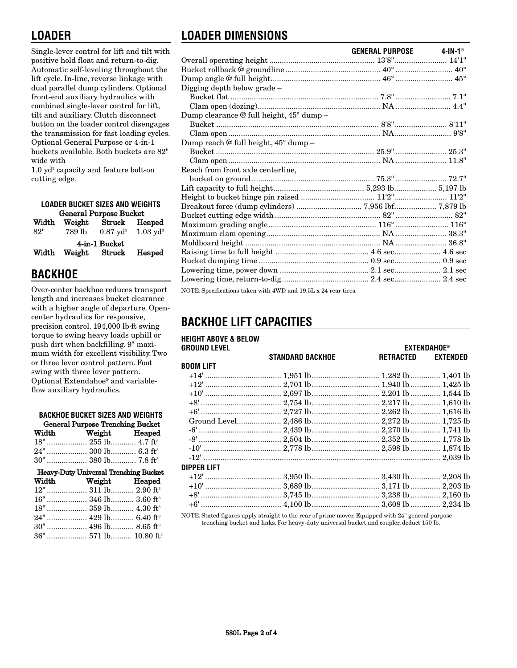# **LOADER**

Single-lever control for lift and tilt with positive hold float and return-to-dig. Automatic self-leveling throughout the lift cycle. In-line, reverse linkage with dual parallel dump cylinders. Optional front-end auxiliary hydraulics with combined single-lever control for lift, tilt and auxiliary. Clutch disconnect button on the loader control disengages the transmission for fast loading cycles. Optional General Purpose or 4-in-1 buckets available. Both buckets are 82" wide with

 $1.0$  yd<sup>3</sup> capacity and feature bolt-on cutting edge.

| <b>LOADER BUCKET SIZES AND WEIGHTS</b> |        |                                |                     |  |  |
|----------------------------------------|--------|--------------------------------|---------------------|--|--|
| <b>General Purpose Bucket</b>          |        |                                |                     |  |  |
| Width Weight<br>Struck Heaped          |        |                                |                     |  |  |
| 82"                                    | 789 lb | $0.87 \;\rm{vd^3}$             | $1.03 \text{ yd}^3$ |  |  |
| Width                                  |        | 4-in-1 Bucket<br>Weight Struck | Heaped              |  |  |

## **BACKHOE**

Over-center backhoe reduces transport length and increases bucket clearance with a higher angle of departure. Opencenter hydraulics for responsive, precision control. 194,000 lb·ft swing torque to swing heavy loads uphill or push dirt when backfilling. 9" maximum width for excellent visibility. Two or three lever control pattern. Foot swing with three lever pattern. Optional Extendahoe® and variableflow auxiliary hydraulics.

| <b>BACKHOE BUCKET SIZES AND WEIGHTS</b>      |                                  |  |  |  |
|----------------------------------------------|----------------------------------|--|--|--|
| <b>General Purpose Trenching Bucket</b>      |                                  |  |  |  |
|                                              | Width Weight Heaped              |  |  |  |
|                                              | 18"  255 lb 4.7 ft <sup>3</sup>  |  |  |  |
|                                              | 24"  300 lb 6.3 ft <sup>3</sup>  |  |  |  |
|                                              | 30"  380 lb 7.8 ft <sup>3</sup>  |  |  |  |
| <b>Heavy-Duty Universal Trenching Bucket</b> |                                  |  |  |  |
|                                              |                                  |  |  |  |
|                                              | Width Weight Heaped              |  |  |  |
|                                              | 12"  311 lb 2.90 ft <sup>3</sup> |  |  |  |
|                                              | 16"  346 lb 3.60 ft <sup>3</sup> |  |  |  |
|                                              | 18"  359 lb 4.30 ft <sup>3</sup> |  |  |  |
|                                              | 24"  429 lb 6.40 ft <sup>3</sup> |  |  |  |
|                                              | 30"  496 lb 8.65 ft <sup>3</sup> |  |  |  |

# **LOADER DIMENSIONS**

|                                                                | GENERAL PURPOSE 4-IN-1 <sup>®</sup> |  |
|----------------------------------------------------------------|-------------------------------------|--|
|                                                                |                                     |  |
|                                                                |                                     |  |
|                                                                |                                     |  |
| Digging depth below grade –                                    |                                     |  |
|                                                                |                                     |  |
|                                                                |                                     |  |
| Dump clearance @ full height, 45° dump –                       |                                     |  |
|                                                                |                                     |  |
|                                                                |                                     |  |
| Dump reach @ full height, 45° dump –                           |                                     |  |
|                                                                |                                     |  |
|                                                                |                                     |  |
| Reach from front axle centerline,                              |                                     |  |
|                                                                |                                     |  |
|                                                                |                                     |  |
|                                                                |                                     |  |
|                                                                |                                     |  |
|                                                                |                                     |  |
|                                                                |                                     |  |
|                                                                |                                     |  |
|                                                                |                                     |  |
|                                                                |                                     |  |
|                                                                |                                     |  |
|                                                                |                                     |  |
|                                                                |                                     |  |
| NOTE: Specifications taken with 4WD and 19.5L x 24 rear tires. |                                     |  |

# **BACKHOE LIFT CAPACITIES**

| <b>HEIGHT ABOVE &amp; BELOW</b><br><b>GROUND LEVEL</b> |                                                 |           | <b>EXTENDAHOE<sup>®</sup></b> |
|--------------------------------------------------------|-------------------------------------------------|-----------|-------------------------------|
|                                                        | <b>STANDARD BACKHOE</b>                         | RETRACTED | <b>EXTENDED</b>               |
| <b>BOOM LIFT</b>                                       |                                                 |           |                               |
|                                                        |                                                 |           |                               |
|                                                        |                                                 |           |                               |
|                                                        |                                                 |           |                               |
|                                                        |                                                 |           |                               |
|                                                        |                                                 |           |                               |
|                                                        |                                                 |           |                               |
|                                                        | Ground Level 2,486 lb 2,272 lb 1,725 lb         |           |                               |
|                                                        |                                                 |           |                               |
|                                                        |                                                 |           |                               |
|                                                        |                                                 |           |                               |
|                                                        |                                                 |           |                               |
| <b>DIPPER LIFT</b>                                     |                                                 |           |                               |
|                                                        |                                                 |           |                               |
|                                                        |                                                 |           |                               |
|                                                        |                                                 |           |                               |
|                                                        |                                                 |           |                               |
|                                                        | $\mathcal{M} \cap \mathcal{M} \cap \mathcal{M}$ |           |                               |

NOTE: Stated figures apply straight to the rear of prime mover. Equipped with 24" general purpose trenching bucket and links. For heavy-duty universal bucket and coupler, deduct 150 lb.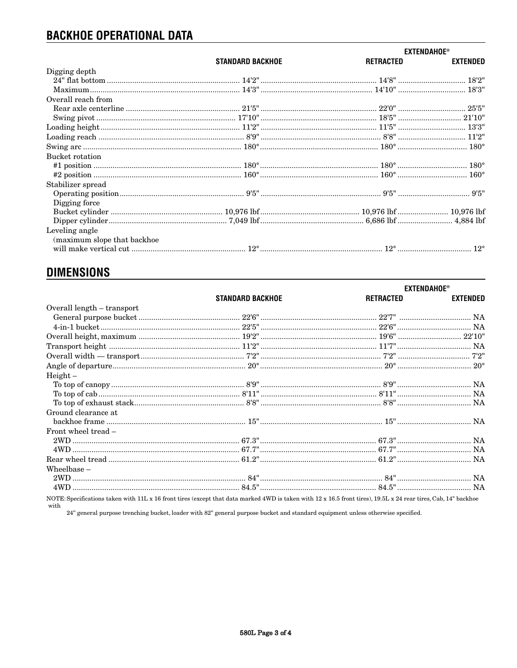# **BACKHOE OPERATIONAL DATA**

|                             |                                                                                                                                                                                                                                                                                                                                                                   | <b>EXTENDAHOE®</b> |                 |
|-----------------------------|-------------------------------------------------------------------------------------------------------------------------------------------------------------------------------------------------------------------------------------------------------------------------------------------------------------------------------------------------------------------|--------------------|-----------------|
|                             | <b>STANDARD BACKHOE</b>                                                                                                                                                                                                                                                                                                                                           | <b>RETRACTED</b>   | <b>EXTENDED</b> |
| Digging depth               |                                                                                                                                                                                                                                                                                                                                                                   |                    |                 |
|                             |                                                                                                                                                                                                                                                                                                                                                                   |                    |                 |
|                             |                                                                                                                                                                                                                                                                                                                                                                   |                    |                 |
| Overall reach from          |                                                                                                                                                                                                                                                                                                                                                                   |                    |                 |
|                             |                                                                                                                                                                                                                                                                                                                                                                   |                    |                 |
|                             |                                                                                                                                                                                                                                                                                                                                                                   |                    |                 |
|                             |                                                                                                                                                                                                                                                                                                                                                                   |                    |                 |
|                             | $\emph{loading reach} \,\, \ldots \,\, \ldots \,\, \ldots \,\, \ldots \,\, \ldots \,\, \ldots \,\, \ldots \,\, \ldots \,\, \ldots \,\, \ldots \,\, \, 8^\prime 9^\prime \,\, \ldots \,\, \ldots \,\, \ldots \,\, \ldots \,\, \ldots \,\, \ldots \,\, \, 8^\prime 8^\prime \,\, \ldots \,\, \ldots \,\, \ldots \,\, \ldots \,\, \ldots \,\, \, 11^\prime 2^\prime$ |                    |                 |
|                             |                                                                                                                                                                                                                                                                                                                                                                   |                    |                 |
| Bucket rotation             |                                                                                                                                                                                                                                                                                                                                                                   |                    |                 |
|                             |                                                                                                                                                                                                                                                                                                                                                                   |                    |                 |
|                             |                                                                                                                                                                                                                                                                                                                                                                   |                    |                 |
| Stabilizer spread           |                                                                                                                                                                                                                                                                                                                                                                   |                    |                 |
|                             |                                                                                                                                                                                                                                                                                                                                                                   |                    |                 |
| Digging force               |                                                                                                                                                                                                                                                                                                                                                                   |                    |                 |
|                             |                                                                                                                                                                                                                                                                                                                                                                   |                    |                 |
|                             |                                                                                                                                                                                                                                                                                                                                                                   |                    |                 |
| Leveling angle              |                                                                                                                                                                                                                                                                                                                                                                   |                    |                 |
| (maximum slope that backhoe |                                                                                                                                                                                                                                                                                                                                                                   |                    |                 |
|                             |                                                                                                                                                                                                                                                                                                                                                                   |                    |                 |
|                             |                                                                                                                                                                                                                                                                                                                                                                   |                    |                 |

## **DIMENSIONS**

|                                                                                                                                                                 | <b>STANDARD BACKHOE</b> | <b>EXTENDAHOE®</b> |                 |
|-----------------------------------------------------------------------------------------------------------------------------------------------------------------|-------------------------|--------------------|-----------------|
|                                                                                                                                                                 |                         | RETRACTED          | <b>EXTENDED</b> |
| Overall length - transport                                                                                                                                      |                         |                    |                 |
|                                                                                                                                                                 |                         |                    |                 |
|                                                                                                                                                                 |                         |                    |                 |
|                                                                                                                                                                 |                         |                    |                 |
|                                                                                                                                                                 |                         |                    |                 |
|                                                                                                                                                                 |                         |                    |                 |
|                                                                                                                                                                 |                         |                    |                 |
| $Height -$                                                                                                                                                      |                         |                    |                 |
|                                                                                                                                                                 |                         |                    |                 |
|                                                                                                                                                                 |                         |                    |                 |
|                                                                                                                                                                 |                         |                    |                 |
| Ground clearance at                                                                                                                                             |                         |                    |                 |
|                                                                                                                                                                 |                         |                    |                 |
| Front wheel tread -                                                                                                                                             |                         |                    |                 |
|                                                                                                                                                                 |                         |                    |                 |
|                                                                                                                                                                 |                         |                    |                 |
|                                                                                                                                                                 |                         |                    |                 |
| Wheelbase $-$                                                                                                                                                   |                         |                    |                 |
|                                                                                                                                                                 |                         |                    |                 |
|                                                                                                                                                                 |                         |                    |                 |
| NOTE: Specifications taken with 11L x 16 front tires (except that data marked 4WD is taken with 12 x 16.5 front tires), 19.5L x 24 rear tires, Cab, 14" backhoe |                         |                    |                 |

 $% \left\vert \mathbf{v}_{i}\right\vert$  with 24" general purpose trenching bucket, loader with 82" general purpose bucket and standard equipment unless otherwise specified.